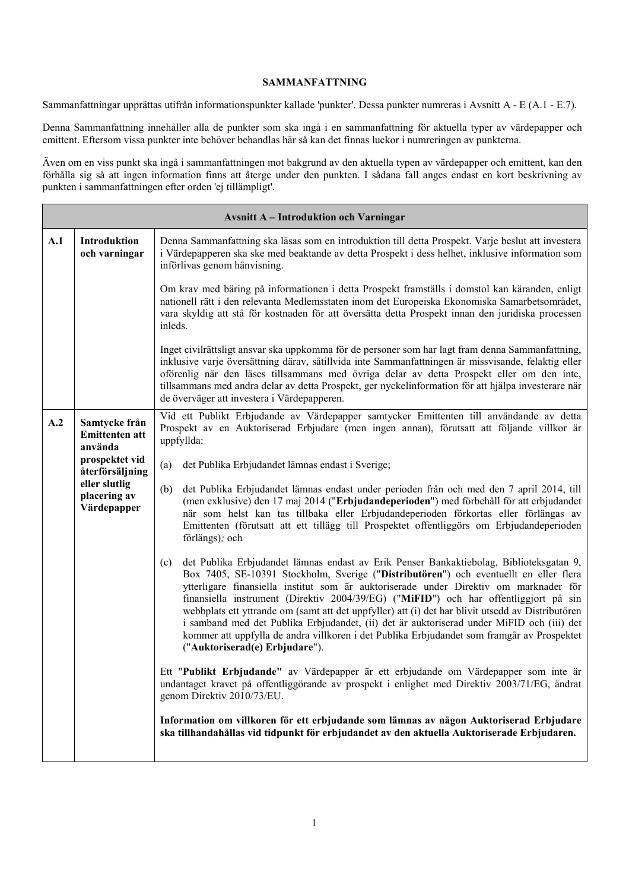## **SAMMANFATTNING**

Sammanfattningar upprättas utifrån informationspunkter kallade 'punkter'. Dessa punkter numreras i Avsnitt A - E (A.1 - E.7).

Denna Sammanfattning innehåller alla de punkter som ska ingå i en sammanfattning för aktuella typer av värdepapper och emittent. Eftersom vissa punkter inte behöver behandlas här så kan det finnas luckor i numreringen av punkterna.

Även om en viss punkt ska ingå i sammanfattningen mot bakgrund av den aktuella typen av värdepapper och emittent, kan den förhålla sig så att ingen information finns att återge under den punkten. I sådana fall anges endast en kort beskrivning av punkten i sammanfattningen efter orden 'ej tillämpligt'.

|     | <b>Avsnitt A - Introduktion och Varningar</b>                                                                                          |                                                                                                                                                                                                                                                                                                                                                                                                                                                                                                                                                                                                                                                                                                            |  |  |  |  |
|-----|----------------------------------------------------------------------------------------------------------------------------------------|------------------------------------------------------------------------------------------------------------------------------------------------------------------------------------------------------------------------------------------------------------------------------------------------------------------------------------------------------------------------------------------------------------------------------------------------------------------------------------------------------------------------------------------------------------------------------------------------------------------------------------------------------------------------------------------------------------|--|--|--|--|
| A.1 | Introduktion<br>och varningar                                                                                                          | Denna Sammanfattning ska läsas som en introduktion till detta Prospekt. Varje beslut att investera<br>i Värdepapperen ska ske med beaktande av detta Prospekt i dess helhet, inklusive information som<br>införlivas genom hänvisning.                                                                                                                                                                                                                                                                                                                                                                                                                                                                     |  |  |  |  |
|     |                                                                                                                                        | Om krav med bäring på informationen i detta Prospekt framställs i domstol kan käranden, enligt<br>nationell rätt i den relevanta Medlemsstaten inom det Europeiska Ekonomiska Samarbetsområdet,<br>vara skyldig att stå för kostnaden för att översätta detta Prospekt innan den juridiska processen<br>inleds.                                                                                                                                                                                                                                                                                                                                                                                            |  |  |  |  |
|     |                                                                                                                                        | Inget civilrättsligt ansvar ska uppkomma för de personer som har lagt fram denna Sammanfattning,<br>inklusive varje översättning därav, såtillvida inte Sammanfattningen är missvisande, felaktig eller<br>oförenlig när den läses tillsammans med övriga delar av detta Prospekt eller om den inte,<br>tillsammans med andra delar av detta Prospekt, ger nyckelinformation för att hjälpa investerare när<br>de överväger att investera i Värdepapperen.                                                                                                                                                                                                                                                 |  |  |  |  |
| A.2 | Samtycke från<br><b>Emittenten att</b><br>använda<br>prospektet vid<br>återförsäljning<br>eller slutlig<br>placering av<br>Värdepapper | Vid ett Publikt Erbjudande av Värdepapper samtycker Emittenten till användande av detta<br>Prospekt av en Auktoriserad Erbjudare (men ingen annan), förutsatt att följande villkor är<br>uppfyllda:                                                                                                                                                                                                                                                                                                                                                                                                                                                                                                        |  |  |  |  |
|     |                                                                                                                                        | det Publika Erbjudandet lämnas endast i Sverige;<br>(a)                                                                                                                                                                                                                                                                                                                                                                                                                                                                                                                                                                                                                                                    |  |  |  |  |
|     |                                                                                                                                        | det Publika Erbjudandet lämnas endast under perioden från och med den 7 april 2014, till<br>(b)<br>(men exklusive) den 17 maj 2014 ("Erbjudandeperioden") med förbehåll för att erbjudandet<br>när som helst kan tas tillbaka eller Erbjudandeperioden förkortas eller förlängas av<br>Emittenten (förutsatt att ett tillägg till Prospektet offentliggörs om Erbjudandeperioden<br>förlängs); och                                                                                                                                                                                                                                                                                                         |  |  |  |  |
|     |                                                                                                                                        | det Publika Erbjudandet lämnas endast av Erik Penser Bankaktiebolag, Biblioteksgatan 9,<br>(c)<br>Box 7405, SE-10391 Stockholm, Sverige ("Distributören") och eventuellt en eller flera<br>ytterligare finansiella institut som är auktoriserade under Direktiv om marknader för<br>finansiella instrument (Direktiv 2004/39/EG) ("MiFID") och har offentliggjort på sin<br>webbplats ett yttrande om (samt att det uppfyller) att (i) det har blivit utsedd av Distributören<br>i samband med det Publika Erbjudandet, (ii) det är auktoriserad under MiFID och (iii) det<br>kommer att uppfylla de andra villkoren i det Publika Erbjudandet som framgår av Prospektet<br>("Auktoriserad(e) Erbjudare"). |  |  |  |  |
|     |                                                                                                                                        | Ett "Publikt Erbjudande" av Värdepapper är ett erbjudande om Värdepapper som inte är<br>undantaget kravet på offentliggörande av prospekt i enlighet med Direktiv 2003/71/EG, ändrat<br>genom Direktiv 2010/73/EU.                                                                                                                                                                                                                                                                                                                                                                                                                                                                                         |  |  |  |  |
|     |                                                                                                                                        | Information om villkoren för ett erbjudande som lämnas av någon Auktoriserad Erbjudare<br>ska tillhandahållas vid tidpunkt för erbjudandet av den aktuella Auktoriserade Erbjudaren.                                                                                                                                                                                                                                                                                                                                                                                                                                                                                                                       |  |  |  |  |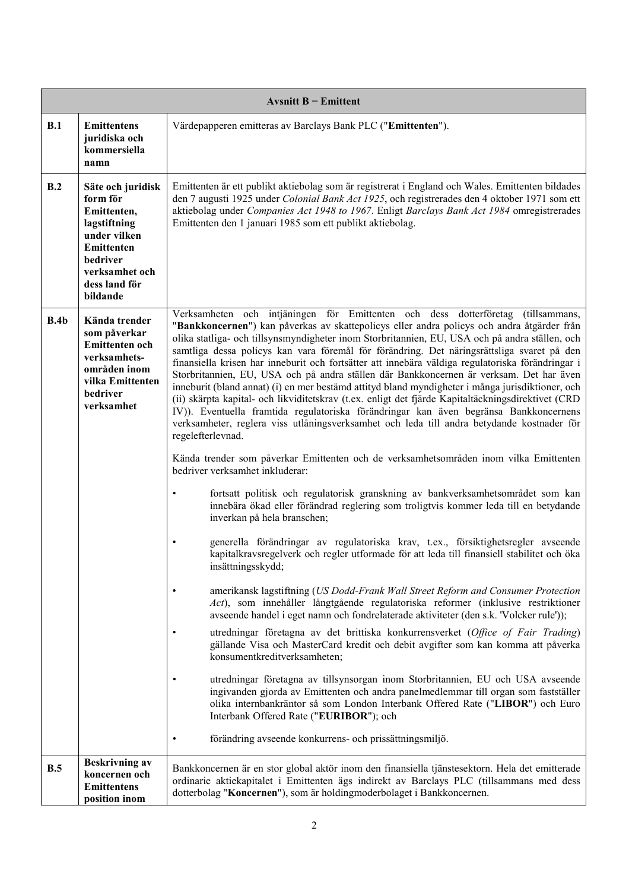|      |                                                                                                                                                       | Avsnitt $B$ – Emittent                                                                                                                                                                                                                                                                                                                                                                                                                                                                                                                                                                                                                                                                                                                                                                                                                                                                                                                                                                                                                                                                                                                                                                                                                                                                                                                                                                                                                                                                                                                                                                                                                                                                                                                                                                                                                                                                                                                                                                                                                                                                                                                                                                                                                                                                                                                                                                                               |
|------|-------------------------------------------------------------------------------------------------------------------------------------------------------|----------------------------------------------------------------------------------------------------------------------------------------------------------------------------------------------------------------------------------------------------------------------------------------------------------------------------------------------------------------------------------------------------------------------------------------------------------------------------------------------------------------------------------------------------------------------------------------------------------------------------------------------------------------------------------------------------------------------------------------------------------------------------------------------------------------------------------------------------------------------------------------------------------------------------------------------------------------------------------------------------------------------------------------------------------------------------------------------------------------------------------------------------------------------------------------------------------------------------------------------------------------------------------------------------------------------------------------------------------------------------------------------------------------------------------------------------------------------------------------------------------------------------------------------------------------------------------------------------------------------------------------------------------------------------------------------------------------------------------------------------------------------------------------------------------------------------------------------------------------------------------------------------------------------------------------------------------------------------------------------------------------------------------------------------------------------------------------------------------------------------------------------------------------------------------------------------------------------------------------------------------------------------------------------------------------------------------------------------------------------------------------------------------------------|
| B.1  | <b>Emittentens</b><br>juridiska och<br>kommersiella<br>namn                                                                                           | Värdepapperen emitteras av Barclays Bank PLC ("Emittenten").                                                                                                                                                                                                                                                                                                                                                                                                                                                                                                                                                                                                                                                                                                                                                                                                                                                                                                                                                                                                                                                                                                                                                                                                                                                                                                                                                                                                                                                                                                                                                                                                                                                                                                                                                                                                                                                                                                                                                                                                                                                                                                                                                                                                                                                                                                                                                         |
| B.2  | Säte och juridisk<br>form för<br>Emittenten,<br>lagstiftning<br>under vilken<br>Emittenten<br>bedriver<br>verksamhet och<br>dess land för<br>bildande | Emittenten är ett publikt aktiebolag som är registrerat i England och Wales. Emittenten bildades<br>den 7 augusti 1925 under Colonial Bank Act 1925, och registrerades den 4 oktober 1971 som ett<br>aktiebolag under Companies Act 1948 to 1967. Enligt Barclays Bank Act 1984 omregistrerades<br>Emittenten den 1 januari 1985 som ett publikt aktiebolag.                                                                                                                                                                                                                                                                                                                                                                                                                                                                                                                                                                                                                                                                                                                                                                                                                                                                                                                                                                                                                                                                                                                                                                                                                                                                                                                                                                                                                                                                                                                                                                                                                                                                                                                                                                                                                                                                                                                                                                                                                                                         |
| B.4b | Kända trender<br>som påverkar<br>Emittenten och<br>verksamhets-<br>områden inom<br>vilka Emittenten<br>bedriver<br>verksamhet                         | Verksamheten och intjäningen för Emittenten och dess dotterföretag<br>(tillsammans,<br>"Bankkoncernen") kan påverkas av skattepolicys eller andra policys och andra åtgärder från<br>olika statliga- och tillsynsmyndigheter inom Storbritannien, EU, USA och på andra ställen, och<br>samtliga dessa policys kan vara föremål för förändring. Det näringsrättsliga svaret på den<br>finansiella krisen har inneburit och fortsätter att innebära väldiga regulatoriska förändringar i<br>Storbritannien, EU, USA och på andra ställen där Bankkoncernen är verksam. Det har även<br>inneburit (bland annat) (i) en mer bestämd attityd bland myndigheter i många jurisdiktioner, och<br>(ii) skärpta kapital- och likviditetskrav (t.ex. enligt det fjärde Kapitaltäckningsdirektivet (CRD<br>IV)). Eventuella framtida regulatoriska förändringar kan även begränsa Bankkoncernens<br>verksamheter, reglera viss utlåningsverksamhet och leda till andra betydande kostnader för<br>regelefterlevnad.<br>Kända trender som påverkar Emittenten och de verksamhetsområden inom vilka Emittenten<br>bedriver verksamhet inkluderar:<br>fortsatt politisk och regulatorisk granskning av bankverksamhetsområdet som kan<br>٠<br>innebära ökad eller förändrad reglering som troligtvis kommer leda till en betydande<br>inverkan på hela branschen;<br>generella förändringar av regulatoriska krav, t.ex., försiktighetsregler avseende<br>kapitalkravsregelverk och regler utformade för att leda till finansiell stabilitet och öka<br>insättningsskydd;<br>amerikansk lagstiftning (US Dodd-Frank Wall Street Reform and Consumer Protection<br>Act), som innehåller långtgående regulatoriska reformer (inklusive restriktioner<br>avseende handel i eget namn och fondrelaterade aktiviteter (den s.k. 'Volcker rule'));<br>utredningar företagna av det brittiska konkurrensverket (Office of Fair Trading)<br>$\bullet$<br>gällande Visa och MasterCard kredit och debit avgifter som kan komma att påverka<br>konsumentkreditverksamheten;<br>utredningar företagna av tillsynsorgan inom Storbritannien, EU och USA avseende<br>ingivanden gjorda av Emittenten och andra panelmedlemmar till organ som fastställer<br>olika internbankräntor så som London Interbank Offered Rate ("LIBOR") och Euro<br>Interbank Offered Rate ("EURIBOR"); och<br>förändring avseende konkurrens- och prissättningsmiljö. |
| B.5  | <b>Beskrivning av</b><br>koncernen och<br><b>Emittentens</b><br>position inom                                                                         | Bankkoncernen är en stor global aktör inom den finansiella tjänstesektorn. Hela det emitterade<br>ordinarie aktiekapitalet i Emittenten ägs indirekt av Barclays PLC (tillsammans med dess<br>dotterbolag "Koncernen"), som är holdingmoderbolaget i Bankkoncernen.                                                                                                                                                                                                                                                                                                                                                                                                                                                                                                                                                                                                                                                                                                                                                                                                                                                                                                                                                                                                                                                                                                                                                                                                                                                                                                                                                                                                                                                                                                                                                                                                                                                                                                                                                                                                                                                                                                                                                                                                                                                                                                                                                  |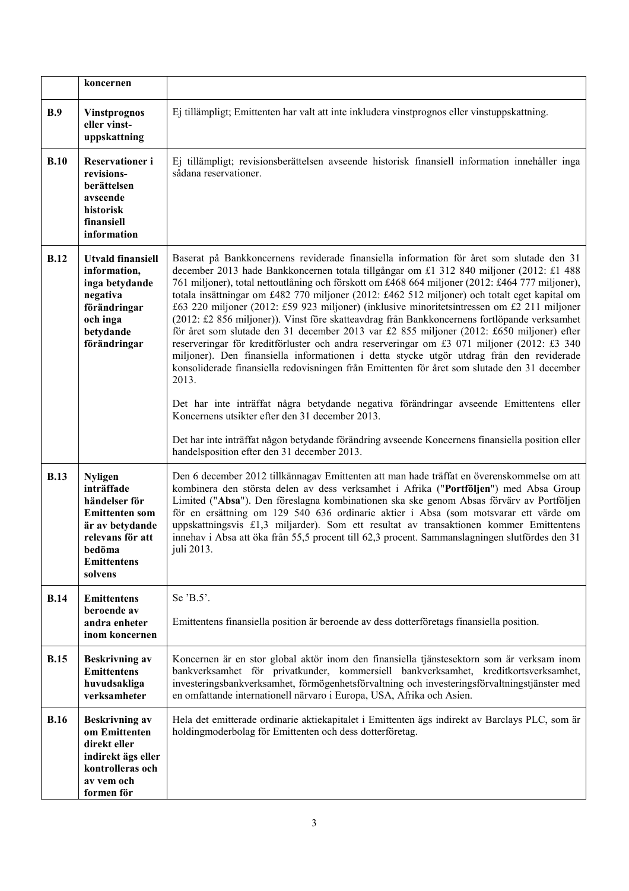|             | koncernen                                                                                                                                                |                                                                                                                                                                                                                                                                                                                                                                                                                                                                                                                                                                                                                                                                                                                                                                                                                                                                                                                                                                                                                                                                                                                                      |
|-------------|----------------------------------------------------------------------------------------------------------------------------------------------------------|--------------------------------------------------------------------------------------------------------------------------------------------------------------------------------------------------------------------------------------------------------------------------------------------------------------------------------------------------------------------------------------------------------------------------------------------------------------------------------------------------------------------------------------------------------------------------------------------------------------------------------------------------------------------------------------------------------------------------------------------------------------------------------------------------------------------------------------------------------------------------------------------------------------------------------------------------------------------------------------------------------------------------------------------------------------------------------------------------------------------------------------|
| <b>B.9</b>  | <b>Vinstprognos</b><br>eller vinst-<br>uppskattning                                                                                                      | Ej tillämpligt; Emittenten har valt att inte inkludera vinstprognos eller vinstuppskattning.                                                                                                                                                                                                                                                                                                                                                                                                                                                                                                                                                                                                                                                                                                                                                                                                                                                                                                                                                                                                                                         |
| B.10        | Reservationer i<br>revisions-<br>berättelsen<br>avseende<br>historisk<br>finansiell<br>information                                                       | Ej tillämpligt; revisionsberättelsen avseende historisk finansiell information innehåller inga<br>sådana reservationer.                                                                                                                                                                                                                                                                                                                                                                                                                                                                                                                                                                                                                                                                                                                                                                                                                                                                                                                                                                                                              |
| <b>B.12</b> | <b>Utvald finansiell</b><br>information,<br>inga betydande<br>negativa<br>förändringar<br>och inga<br>betydande<br>förändringar                          | Baserat på Bankkoncernens reviderade finansiella information för året som slutade den 31<br>december 2013 hade Bankkoncernen totala tillgångar om £1 312 840 miljoner (2012: £1 488<br>761 miljoner), total nettoutlåning och förskott om £468 664 miljoner (2012: £464 777 miljoner),<br>totala insättningar om £482 770 miljoner (2012: £462 512 miljoner) och totalt eget kapital om<br>£63 220 miljoner (2012: £59 923 miljoner) (inklusive minoritetsintressen om £2 211 miljoner<br>(2012: £2 856 miljoner)). Vinst före skatteavdrag från Bankkoncernens fortlöpande verksamhet<br>för året som slutade den 31 december 2013 var £2 855 miljoner (2012: £650 miljoner) efter<br>reserveringar för kreditförluster och andra reserveringar om £3 071 miljoner (2012: £3 340<br>miljoner). Den finansiella informationen i detta stycke utgör utdrag från den reviderade<br>konsoliderade finansiella redovisningen från Emittenten för året som slutade den 31 december<br>2013.<br>Det har inte inträffat några betydande negativa förändringar avseende Emittentens eller<br>Koncernens utsikter efter den 31 december 2013. |
|             |                                                                                                                                                          | Det har inte inträffat någon betydande förändring avseende Koncernens finansiella position eller<br>handelsposition efter den 31 december 2013.                                                                                                                                                                                                                                                                                                                                                                                                                                                                                                                                                                                                                                                                                                                                                                                                                                                                                                                                                                                      |
| <b>B.13</b> | <b>Nyligen</b><br>inträffade<br>händelser för<br><b>Emittenten som</b><br>är av betydande<br>relevans för att<br>bedöma<br><b>Emittentens</b><br>solvens | Den 6 december 2012 tillkännagav Emittenten att man hade träffat en överenskommelse om att<br>kombinera den största delen av dess verksamhet i Afrika ("Portföljen") med Absa Group<br>Limited ("Absa"). Den föreslagna kombinationen ska ske genom Absas förvärv av Portföljen<br>för en ersättning om 129 540 636 ordinarie aktier i Absa (som motsvarar ett värde om<br>uppskattningsvis £1,3 miljarder). Som ett resultat av transaktionen kommer Emittentens<br>innehav i Absa att öka från 55,5 procent till 62,3 procent. Sammanslagningen slutfördes den 31<br>juli 2013.                                                                                                                                                                                                                                                                                                                                                                                                                                                                                                                                                    |
| <b>B.14</b> | <b>Emittentens</b><br>beroende av<br>andra enheter<br>inom koncernen                                                                                     | Se 'B.5'.<br>Emittentens finansiella position är beroende av dess dotterföretags finansiella position.                                                                                                                                                                                                                                                                                                                                                                                                                                                                                                                                                                                                                                                                                                                                                                                                                                                                                                                                                                                                                               |
| <b>B.15</b> | <b>Beskrivning av</b><br><b>Emittentens</b><br>huvudsakliga<br>verksamheter                                                                              | Koncernen är en stor global aktör inom den finansiella tjänstesektorn som är verksam inom<br>bankverksamhet för privatkunder, kommersiell bankverksamhet, kreditkortsverksamhet,<br>investeringsbankverksamhet, förmögenhetsförvaltning och investeringsförvaltningstjänster med<br>en omfattande internationell närvaro i Europa, USA, Afrika och Asien.                                                                                                                                                                                                                                                                                                                                                                                                                                                                                                                                                                                                                                                                                                                                                                            |
| <b>B.16</b> | <b>Beskrivning av</b><br>om Emittenten<br>direkt eller<br>indirekt ägs eller<br>kontrolleras och<br>av vem och<br>formen för                             | Hela det emitterade ordinarie aktiekapitalet i Emittenten ägs indirekt av Barclays PLC, som är<br>holdingmoderbolag för Emittenten och dess dotterföretag.                                                                                                                                                                                                                                                                                                                                                                                                                                                                                                                                                                                                                                                                                                                                                                                                                                                                                                                                                                           |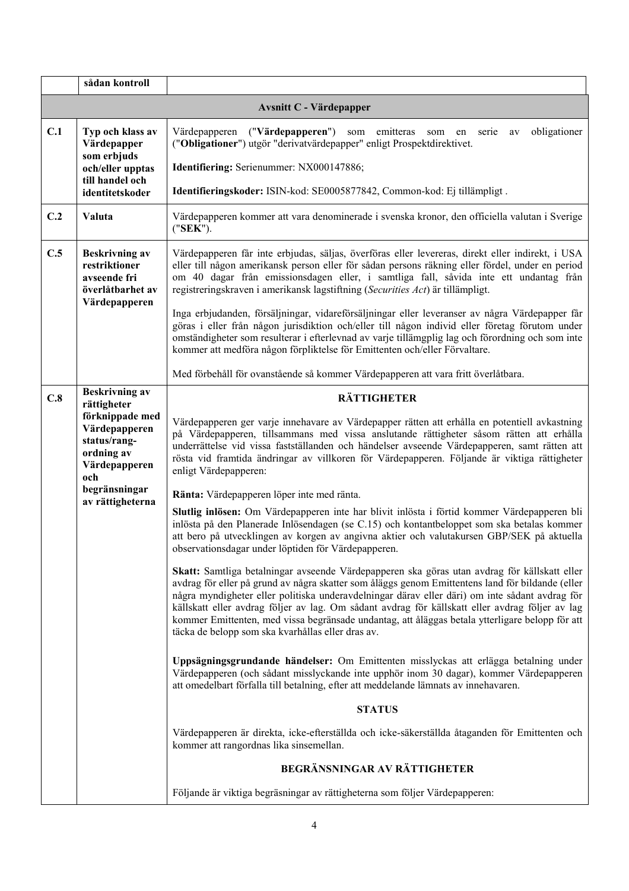|     | sådan kontroll                                                                         |                                                                                                                                                                                                                                                                                                                                                                                                                                                                                                                                                               |
|-----|----------------------------------------------------------------------------------------|---------------------------------------------------------------------------------------------------------------------------------------------------------------------------------------------------------------------------------------------------------------------------------------------------------------------------------------------------------------------------------------------------------------------------------------------------------------------------------------------------------------------------------------------------------------|
|     |                                                                                        | <b>Avsnitt C - Värdepapper</b>                                                                                                                                                                                                                                                                                                                                                                                                                                                                                                                                |
| C.1 | Typ och klass av<br>Värdepapper                                                        | obligationer<br>Värdepapperen ("Värdepapperen") som emitteras<br>serie<br>som<br>en<br>av<br>("Obligationer") utgör "derivatvärdepapper" enligt Prospektdirektivet.                                                                                                                                                                                                                                                                                                                                                                                           |
|     | som erbjuds<br>och/eller upptas                                                        | Identifiering: Serienummer: NX000147886;                                                                                                                                                                                                                                                                                                                                                                                                                                                                                                                      |
|     | till handel och<br>identitetskoder                                                     | Identifieringskoder: ISIN-kod: SE0005877842, Common-kod: Ej tillämpligt.                                                                                                                                                                                                                                                                                                                                                                                                                                                                                      |
| C.2 | Valuta                                                                                 | Värdepapperen kommer att vara denominerade i svenska kronor, den officiella valutan i Sverige<br>("SEK").                                                                                                                                                                                                                                                                                                                                                                                                                                                     |
| C.5 | <b>Beskrivning av</b><br>restriktioner<br>avseende fri<br>överlåtbarhet av             | Värdepapperen får inte erbjudas, säljas, överföras eller levereras, direkt eller indirekt, i USA<br>eller till någon amerikansk person eller för sådan persons räkning eller fördel, under en period<br>om 40 dagar från emissionsdagen eller, i samtliga fall, såvida inte ett undantag från<br>registreringskraven i amerikansk lagstiftning (Securities Act) är tillämpligt.                                                                                                                                                                               |
|     | Värdepapperen                                                                          | Inga erbjudanden, försäljningar, vidareförsäljningar eller leveranser av några Värdepapper får<br>göras i eller från någon jurisdiktion och/eller till någon individ eller företag förutom under<br>omständigheter som resulterar i efterlevnad av varje tillämgplig lag och förordning och som inte<br>kommer att medföra någon förpliktelse för Emittenten och/eller Förvaltare.                                                                                                                                                                            |
|     |                                                                                        | Med förbehåll för ovanstående så kommer Värdepapperen att vara fritt överlåtbara.                                                                                                                                                                                                                                                                                                                                                                                                                                                                             |
| C.8 | <b>Beskrivning av</b><br>rättigheter                                                   | <b>RÄTTIGHETER</b>                                                                                                                                                                                                                                                                                                                                                                                                                                                                                                                                            |
|     | förknippade med<br>Värdepapperen<br>status/rang-<br>ordning av<br>Värdepapperen<br>och | Värdepapperen ger varje innehavare av Värdepapper rätten att erhålla en potentiell avkastning<br>på Värdepapperen, tillsammans med vissa anslutande rättigheter såsom rätten att erhålla<br>underrättelse vid vissa fastställanden och händelser avseende Värdepapperen, samt rätten att<br>rösta vid framtida ändringar av villkoren för Värdepapperen. Följande är viktiga rättigheter<br>enligt Värdepapperen:                                                                                                                                             |
|     | begränsningar<br>av rättigheterna                                                      | Ränta: Värdepapperen löper inte med ränta.                                                                                                                                                                                                                                                                                                                                                                                                                                                                                                                    |
|     |                                                                                        | Slutlig inlösen: Om Värdepapperen inte har blivit inlösta i förtid kommer Värdepapperen bli<br>inlösta på den Planerade Inlösendagen (se C.15) och kontantbeloppet som ska betalas kommer<br>att bero på utvecklingen av korgen av angivna aktier och valutakursen GBP/SEK på aktuella<br>observationsdagar under löptiden för Värdepapperen.                                                                                                                                                                                                                 |
|     |                                                                                        | Skatt: Samtliga betalningar avseende Värdepapperen ska göras utan avdrag för källskatt eller<br>avdrag för eller på grund av några skatter som åläggs genom Emittentens land för bildande (eller<br>några myndigheter eller politiska underavdelningar därav eller däri) om inte sådant avdrag för<br>källskatt eller avdrag följer av lag. Om sådant avdrag för källskatt eller avdrag följer av lag<br>kommer Emittenten, med vissa begränsade undantag, att åläggas betala ytterligare belopp för att<br>täcka de belopp som ska kvarhållas eller dras av. |
|     |                                                                                        | Uppsägningsgrundande händelser: Om Emittenten misslyckas att erlägga betalning under<br>Värdepapperen (och sådant misslyckande inte upphör inom 30 dagar), kommer Värdepapperen<br>att omedelbart förfalla till betalning, efter att meddelande lämnats av innehavaren.                                                                                                                                                                                                                                                                                       |
|     |                                                                                        | <b>STATUS</b>                                                                                                                                                                                                                                                                                                                                                                                                                                                                                                                                                 |
|     |                                                                                        | Värdepapperen är direkta, icke-efterställda och icke-säkerställda åtaganden för Emittenten och<br>kommer att rangordnas lika sinsemellan.                                                                                                                                                                                                                                                                                                                                                                                                                     |
|     |                                                                                        | BEGRÄNSNINGAR AV RÄTTIGHETER                                                                                                                                                                                                                                                                                                                                                                                                                                                                                                                                  |
|     |                                                                                        | Följande är viktiga begräsningar av rättigheterna som följer Värdepapperen:                                                                                                                                                                                                                                                                                                                                                                                                                                                                                   |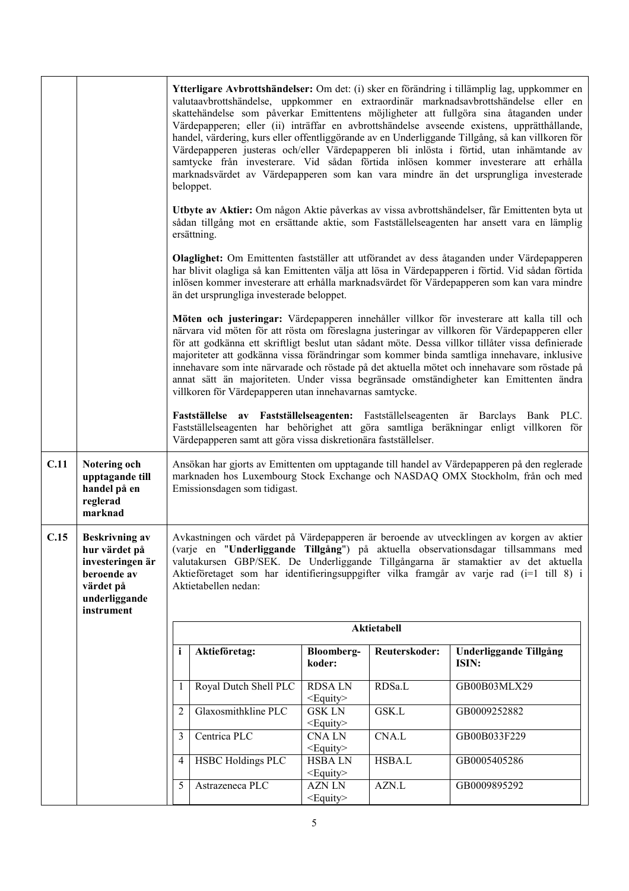|      |                                                                                                                       |                | beloppet.                                                       |                                    |               | Ytterligare Avbrottshändelser: Om det: (i) sker en förändring i tillämplig lag, uppkommer en<br>valutaavbrottshändelse, uppkommer en extraordinär marknadsavbrottshändelse eller en<br>skattehändelse som påverkar Emittentens möjligheter att fullgöra sina åtaganden under<br>Värdepapperen; eller (ii) inträffar en avbrottshändelse avseende existens, upprätthållande,<br>handel, värdering, kurs eller offentliggörande av en Underliggande Tillgång, så kan villkoren för<br>Värdepapperen justeras och/eller Värdepapperen bli inlösta i förtid, utan inhämtande av<br>samtycke från investerare. Vid sådan förtida inlösen kommer investerare att erhålla<br>marknadsvärdet av Värdepapperen som kan vara mindre än det ursprungliga investerade |
|------|-----------------------------------------------------------------------------------------------------------------------|----------------|-----------------------------------------------------------------|------------------------------------|---------------|-----------------------------------------------------------------------------------------------------------------------------------------------------------------------------------------------------------------------------------------------------------------------------------------------------------------------------------------------------------------------------------------------------------------------------------------------------------------------------------------------------------------------------------------------------------------------------------------------------------------------------------------------------------------------------------------------------------------------------------------------------------|
|      |                                                                                                                       |                | ersättning.                                                     |                                    |               | Utbyte av Aktier: Om någon Aktie påverkas av vissa avbrottshändelser, får Emittenten byta ut<br>sådan tillgång mot en ersättande aktie, som Fastställelseagenten har ansett vara en lämplig                                                                                                                                                                                                                                                                                                                                                                                                                                                                                                                                                               |
|      |                                                                                                                       |                | än det ursprungliga investerade beloppet.                       |                                    |               | Olaglighet: Om Emittenten fastställer att utförandet av dess åtaganden under Värdepapperen<br>har blivit olagliga så kan Emittenten välja att lösa in Värdepapperen i förtid. Vid sådan förtida<br>inlösen kommer investerare att erhålla marknadsvärdet för Värdepapperen som kan vara mindre                                                                                                                                                                                                                                                                                                                                                                                                                                                            |
|      |                                                                                                                       |                | villkoren för Värdepapperen utan innehavarnas samtycke.         |                                    |               | Möten och justeringar: Värdepapperen innehåller villkor för investerare att kalla till och<br>närvara vid möten för att rösta om föreslagna justeringar av villkoren för Värdepapperen eller<br>för att godkänna ett skriftligt beslut utan sådant möte. Dessa villkor tillåter vissa definierade<br>majoriteter att godkänna vissa förändringar som kommer binda samtliga innehavare, inklusive<br>innehavare som inte närvarade och röstade på det aktuella mötet och innehavare som röstade på<br>annat sätt än majoriteten. Under vissa begränsade omständigheter kan Emittenten ändra                                                                                                                                                                |
|      |                                                                                                                       |                | Värdepapperen samt att göra vissa diskretionära fastställelser. |                                    |               | Fastställelse av Fastställelseagenten: Fastställelseagenten är Barclays Bank PLC.<br>Fastställelseagenten har behörighet att göra samtliga beräkningar enligt villkoren för                                                                                                                                                                                                                                                                                                                                                                                                                                                                                                                                                                               |
| C.11 | Notering och<br>upptagande till<br>handel på en<br>reglerad<br>marknad                                                |                | Emissionsdagen som tidigast.                                    |                                    |               | Ansökan har gjorts av Emittenten om upptagande till handel av Värdepapperen på den reglerade<br>marknaden hos Luxembourg Stock Exchange och NASDAQ OMX Stockholm, från och med                                                                                                                                                                                                                                                                                                                                                                                                                                                                                                                                                                            |
| C.15 | <b>Beskrivning av</b><br>hur värdet på<br>investeringen är<br>beroende av<br>värdet på<br>underliggande<br>instrument |                | Aktietabellen nedan:                                            |                                    |               | Avkastningen och värdet på Värdepapperen är beroende av utvecklingen av korgen av aktier<br>(varje en "Underliggande Tillgång") på aktuella observationsdagar tillsammans med<br>valutakursen GBP/SEK. De Underliggande Tillgångarna är stamaktier av det aktuella<br>Aktieföretaget som har identifieringsuppgifter vilka framgår av varje rad (i=1 till 8) i                                                                                                                                                                                                                                                                                                                                                                                            |
|      |                                                                                                                       |                |                                                                 |                                    | Aktietabell   |                                                                                                                                                                                                                                                                                                                                                                                                                                                                                                                                                                                                                                                                                                                                                           |
|      |                                                                                                                       | i              | Aktieföretag:                                                   | <b>Bloomberg-</b><br>koder:        | Reuterskoder: | Underliggande Tillgång<br>ISIN:                                                                                                                                                                                                                                                                                                                                                                                                                                                                                                                                                                                                                                                                                                                           |
|      |                                                                                                                       | 1              | Royal Dutch Shell PLC                                           | <b>RDSALN</b><br>$\leq$ Equity $>$ | RDSa.L        | GB00B03MLX29                                                                                                                                                                                                                                                                                                                                                                                                                                                                                                                                                                                                                                                                                                                                              |
|      |                                                                                                                       | $\overline{2}$ | Glaxosmithkline PLC                                             | <b>GSK LN</b><br>$\leq$ Equity $>$ | GSK.L         | GB0009252882                                                                                                                                                                                                                                                                                                                                                                                                                                                                                                                                                                                                                                                                                                                                              |
|      |                                                                                                                       | 3              | Centrica PLC                                                    | <b>CNALN</b><br>$\leq$ Equity $>$  | CNA.L         | GB00B033F229                                                                                                                                                                                                                                                                                                                                                                                                                                                                                                                                                                                                                                                                                                                                              |
|      |                                                                                                                       | $\overline{4}$ | <b>HSBC Holdings PLC</b>                                        | <b>HSBALN</b><br>$<$ Equity $>$    | HSBA.L        | GB0005405286                                                                                                                                                                                                                                                                                                                                                                                                                                                                                                                                                                                                                                                                                                                                              |
|      |                                                                                                                       | 5              | Astrazeneca PLC                                                 | <b>AZN LN</b><br>$<$ Equity $>$    | AZN.L         | GB0009895292                                                                                                                                                                                                                                                                                                                                                                                                                                                                                                                                                                                                                                                                                                                                              |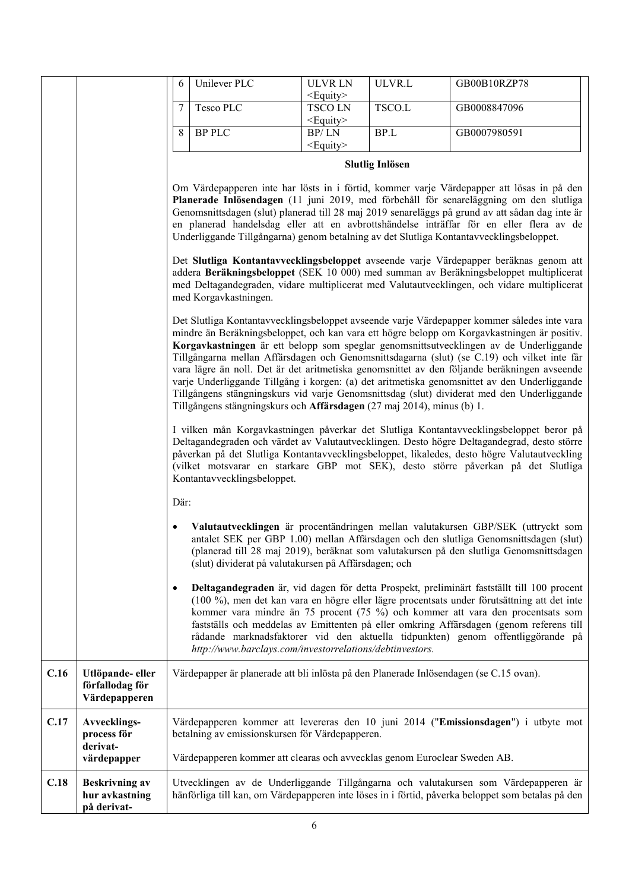|      |                                                        | 6         | Unilever PLC                                                              | <b>ULVRLN</b><br>$\leq$ Equity $>$ | ULVR.L                 | GB00B10RZP78                                                                                                                                                                                                                                                                                                                                                                                                                                                                                                                                                                                                                                                                      |
|------|--------------------------------------------------------|-----------|---------------------------------------------------------------------------|------------------------------------|------------------------|-----------------------------------------------------------------------------------------------------------------------------------------------------------------------------------------------------------------------------------------------------------------------------------------------------------------------------------------------------------------------------------------------------------------------------------------------------------------------------------------------------------------------------------------------------------------------------------------------------------------------------------------------------------------------------------|
|      |                                                        | 7         | Tesco PLC                                                                 | <b>TSCOLN</b><br>$<$ Equity $>$    | TSCO.L                 | GB0008847096                                                                                                                                                                                                                                                                                                                                                                                                                                                                                                                                                                                                                                                                      |
|      |                                                        | 8         | <b>BP PLC</b>                                                             | BP/LN<br>$<$ Equity $>$            | BP.L                   | GB0007980591                                                                                                                                                                                                                                                                                                                                                                                                                                                                                                                                                                                                                                                                      |
|      |                                                        |           |                                                                           |                                    | <b>Slutlig Inlösen</b> |                                                                                                                                                                                                                                                                                                                                                                                                                                                                                                                                                                                                                                                                                   |
|      |                                                        |           |                                                                           |                                    |                        | Om Värdepapperen inte har lösts in i förtid, kommer varje Värdepapper att lösas in på den<br>Planerade Inlösendagen (11 juni 2019, med förbehåll för senareläggning om den slutliga<br>Genomsnittsdagen (slut) planerad till 28 maj 2019 senareläggs på grund av att sådan dag inte är<br>en planerad handelsdag eller att en avbrottshändelse inträffar för en eller flera av de<br>Underliggande Tillgångarna) genom betalning av det Slutliga Kontantavvecklingsbeloppet.                                                                                                                                                                                                      |
|      |                                                        |           | med Korgavkastningen.                                                     |                                    |                        | Det Slutliga Kontantavvecklingsbeloppet avseende varje Värdepapper beräknas genom att<br>addera Beräkningsbeloppet (SEK 10 000) med summan av Beräkningsbeloppet multiplicerat<br>med Deltagandegraden, vidare multiplicerat med Valutautvecklingen, och vidare multiplicerat                                                                                                                                                                                                                                                                                                                                                                                                     |
|      |                                                        |           | Tillgångens stängningskurs och Affärsdagen (27 maj 2014), minus (b) 1.    |                                    |                        | Det Slutliga Kontantavvecklingsbeloppet avseende varje Värdepapper kommer således inte vara<br>mindre än Beräkningsbeloppet, och kan vara ett högre belopp om Korgavkastningen är positiv.<br>Korgavkastningen är ett belopp som speglar genomsnittsutvecklingen av de Underliggande<br>Tillgångarna mellan Affärsdagen och Genomsnittsdagarna (slut) (se C.19) och vilket inte får<br>vara lägre än noll. Det är det aritmetiska genomsnittet av den följande beräkningen avseende<br>varje Underliggande Tillgång i korgen: (a) det aritmetiska genomsnittet av den Underliggande<br>Tillgångens stängningskurs vid varje Genomsnittsdag (slut) dividerat med den Underliggande |
|      |                                                        |           | Kontantavvecklingsbeloppet.                                               |                                    |                        | I vilken mån Korgavkastningen påverkar det Slutliga Kontantavvecklingsbeloppet beror på<br>Deltagandegraden och värdet av Valutautvecklingen. Desto högre Deltagandegrad, desto större<br>påverkan på det Slutliga Kontantavvecklingsbeloppet, likaledes, desto högre Valutautveckling<br>(vilket motsvarar en starkare GBP mot SEK), desto större påverkan på det Slutliga                                                                                                                                                                                                                                                                                                       |
|      |                                                        | Där:      |                                                                           |                                    |                        |                                                                                                                                                                                                                                                                                                                                                                                                                                                                                                                                                                                                                                                                                   |
|      |                                                        |           | (slut) dividerat på valutakursen på Affärsdagen; och                      |                                    |                        | Valutautvecklingen är procentändringen mellan valutakursen GBP/SEK (uttryckt som<br>antalet SEK per GBP 1.00) mellan Affärsdagen och den slutliga Genomsnittsdagen (slut)<br>(planerad till 28 maj 2019), beräknat som valutakursen på den slutliga Genomsnittsdagen                                                                                                                                                                                                                                                                                                                                                                                                              |
|      |                                                        | $\bullet$ | http://www.barclays.com/investorrelations/debtinvestors.                  |                                    |                        | Deltagandegraden är, vid dagen för detta Prospekt, preliminärt fastställt till 100 procent<br>(100 %), men det kan vara en högre eller lägre procentsats under förutsättning att det inte<br>kommer vara mindre än 75 procent (75 %) och kommer att vara den procentsats som<br>fastställs och meddelas av Emittenten på eller omkring Affärsdagen (genom referens till<br>rådande marknadsfaktorer vid den aktuella tidpunkten) genom offentliggörande på                                                                                                                                                                                                                        |
| C.16 | Utlöpande-eller<br>förfallodag för<br>Värdepapperen    |           |                                                                           |                                    |                        | Värdepapper är planerade att bli inlösta på den Planerade Inlösendagen (se C.15 ovan).                                                                                                                                                                                                                                                                                                                                                                                                                                                                                                                                                                                            |
| C.17 | Avvecklings-<br>process för<br>derivat-                |           | betalning av emissionskursen för Värdepapperen.                           |                                    |                        | Värdepapperen kommer att levereras den 10 juni 2014 ("Emissionsdagen") i utbyte mot                                                                                                                                                                                                                                                                                                                                                                                                                                                                                                                                                                                               |
|      | värdepapper                                            |           | Värdepapperen kommer att clearas och avvecklas genom Euroclear Sweden AB. |                                    |                        |                                                                                                                                                                                                                                                                                                                                                                                                                                                                                                                                                                                                                                                                                   |
| C.18 | <b>Beskrivning av</b><br>hur avkastning<br>på derivat- |           |                                                                           |                                    |                        | Utvecklingen av de Underliggande Tillgångarna och valutakursen som Värdepapperen är<br>hänförliga till kan, om Värdepapperen inte löses in i förtid, påverka beloppet som betalas på den                                                                                                                                                                                                                                                                                                                                                                                                                                                                                          |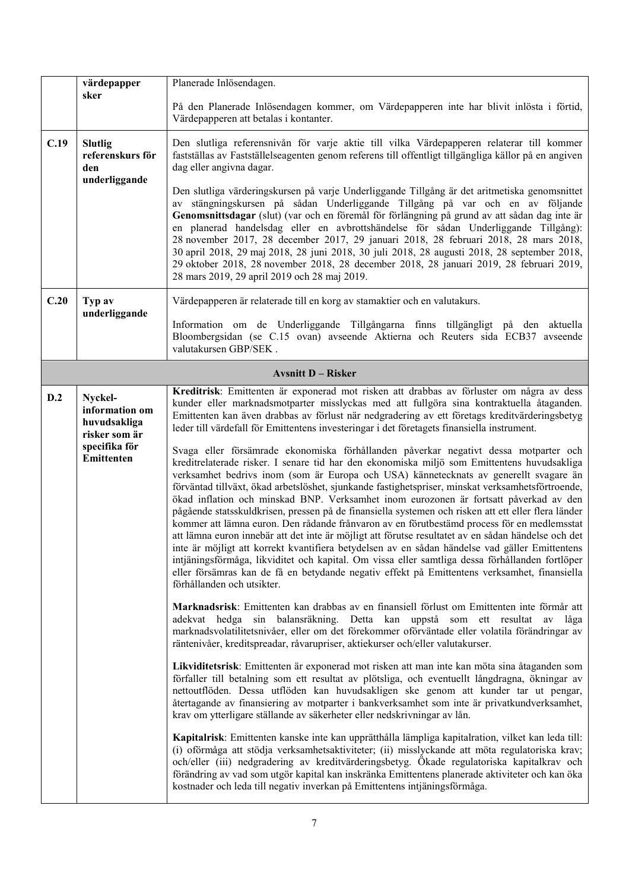|      | värdepapper                                                                                      | Planerade Inlösendagen.                                                                                                                                                                                                                                                                                                                                                                                                                                                                                                                                                                                                                                                                                                                                                                                                                                                                                                                                                                                                                                                                                                                                                                                                                                                                                                                                                                                                                                                                                                                                                                                                                                                                                                                                                                                                                                                                                                                                                                                                                                                                                                                                                                                                                                                                                                                                 |
|------|--------------------------------------------------------------------------------------------------|---------------------------------------------------------------------------------------------------------------------------------------------------------------------------------------------------------------------------------------------------------------------------------------------------------------------------------------------------------------------------------------------------------------------------------------------------------------------------------------------------------------------------------------------------------------------------------------------------------------------------------------------------------------------------------------------------------------------------------------------------------------------------------------------------------------------------------------------------------------------------------------------------------------------------------------------------------------------------------------------------------------------------------------------------------------------------------------------------------------------------------------------------------------------------------------------------------------------------------------------------------------------------------------------------------------------------------------------------------------------------------------------------------------------------------------------------------------------------------------------------------------------------------------------------------------------------------------------------------------------------------------------------------------------------------------------------------------------------------------------------------------------------------------------------------------------------------------------------------------------------------------------------------------------------------------------------------------------------------------------------------------------------------------------------------------------------------------------------------------------------------------------------------------------------------------------------------------------------------------------------------------------------------------------------------------------------------------------------------|
|      | sker                                                                                             | På den Planerade Inlösendagen kommer, om Värdepapperen inte har blivit inlösta i förtid,<br>Värdepapperen att betalas i kontanter.                                                                                                                                                                                                                                                                                                                                                                                                                                                                                                                                                                                                                                                                                                                                                                                                                                                                                                                                                                                                                                                                                                                                                                                                                                                                                                                                                                                                                                                                                                                                                                                                                                                                                                                                                                                                                                                                                                                                                                                                                                                                                                                                                                                                                      |
| C.19 | <b>Slutlig</b><br>referenskurs för<br>den<br>underliggande                                       | Den slutliga referensnivån för varje aktie till vilka Värdepapperen relaterar till kommer<br>fastställas av Fastställelseagenten genom referens till offentligt tillgängliga källor på en angiven<br>dag eller angivna dagar.                                                                                                                                                                                                                                                                                                                                                                                                                                                                                                                                                                                                                                                                                                                                                                                                                                                                                                                                                                                                                                                                                                                                                                                                                                                                                                                                                                                                                                                                                                                                                                                                                                                                                                                                                                                                                                                                                                                                                                                                                                                                                                                           |
|      |                                                                                                  | Den slutliga värderingskursen på varje Underliggande Tillgång är det aritmetiska genomsnittet<br>av stängningskursen på sådan Underliggande Tillgång på var och en av följande<br>Genomsnittsdagar (slut) (var och en föremål för förlängning på grund av att sådan dag inte är<br>en planerad handelsdag eller en avbrottshändelse för sådan Underliggande Tillgång):<br>28 november 2017, 28 december 2017, 29 januari 2018, 28 februari 2018, 28 mars 2018,<br>30 april 2018, 29 maj 2018, 28 juni 2018, 30 juli 2018, 28 augusti 2018, 28 september 2018,<br>29 oktober 2018, 28 november 2018, 28 december 2018, 28 januari 2019, 28 februari 2019,<br>28 mars 2019, 29 april 2019 och 28 maj 2019.                                                                                                                                                                                                                                                                                                                                                                                                                                                                                                                                                                                                                                                                                                                                                                                                                                                                                                                                                                                                                                                                                                                                                                                                                                                                                                                                                                                                                                                                                                                                                                                                                                                |
| C.20 | Typ av<br>underliggande                                                                          | Värdepapperen är relaterade till en korg av stamaktier och en valutakurs.                                                                                                                                                                                                                                                                                                                                                                                                                                                                                                                                                                                                                                                                                                                                                                                                                                                                                                                                                                                                                                                                                                                                                                                                                                                                                                                                                                                                                                                                                                                                                                                                                                                                                                                                                                                                                                                                                                                                                                                                                                                                                                                                                                                                                                                                               |
|      |                                                                                                  | Information om de Underliggande Tillgångarna finns tillgängligt på den aktuella<br>Bloombergsidan (se C.15 ovan) avseende Aktierna och Reuters sida ECB37 avseende<br>valutakursen GBP/SEK.                                                                                                                                                                                                                                                                                                                                                                                                                                                                                                                                                                                                                                                                                                                                                                                                                                                                                                                                                                                                                                                                                                                                                                                                                                                                                                                                                                                                                                                                                                                                                                                                                                                                                                                                                                                                                                                                                                                                                                                                                                                                                                                                                             |
|      |                                                                                                  | <b>Avsnitt D - Risker</b>                                                                                                                                                                                                                                                                                                                                                                                                                                                                                                                                                                                                                                                                                                                                                                                                                                                                                                                                                                                                                                                                                                                                                                                                                                                                                                                                                                                                                                                                                                                                                                                                                                                                                                                                                                                                                                                                                                                                                                                                                                                                                                                                                                                                                                                                                                                               |
| D.2  | Nyckel-<br>information om<br>huvudsakliga<br>risker som är<br>specifika för<br><b>Emittenten</b> | Kreditrisk: Emittenten är exponerad mot risken att drabbas av förluster om några av dess<br>kunder eller marknadsmotparter misslyckas med att fullgöra sina kontraktuella åtaganden.<br>Emittenten kan även drabbas av förlust när nedgradering av ett företags kreditvärderingsbetyg<br>leder till värdefall för Emittentens investeringar i det företagets finansiella instrument.<br>Svaga eller försämrade ekonomiska förhållanden påverkar negativt dessa motparter och<br>kreditrelaterade risker. I senare tid har den ekonomiska miljö som Emittentens huvudsakliga<br>verksamhet bedrivs inom (som är Europa och USA) kännetecknats av generellt svagare än<br>förväntad tillväxt, ökad arbetslöshet, sjunkande fastighetspriser, minskat verksamhetsförtroende,<br>ökad inflation och minskad BNP. Verksamhet inom eurozonen är fortsatt påverkad av den<br>pågående statsskuldkrisen, pressen på de finansiella systemen och risken att ett eller flera länder<br>kommer att lämna euron. Den rådande frånvaron av en förutbestämd process för en medlemsstat<br>att lämna euron innebär att det inte är möjligt att förutse resultatet av en sådan händelse och det<br>inte är möjligt att korrekt kvantifiera betydelsen av en sådan händelse vad gäller Emittentens<br>intjäningsförmåga, likviditet och kapital. Om vissa eller samtliga dessa förhållanden fortlöper<br>eller försämras kan de få en betydande negativ effekt på Emittentens verksamhet, finansiella<br>förhållanden och utsikter.<br>Marknadsrisk: Emittenten kan drabbas av en finansiell förlust om Emittenten inte förmår att<br>adekvat hedga sin balansräkning. Detta kan uppstå som ett resultat av låga<br>marknadsvolatilitetsnivåer, eller om det förekommer oförväntade eller volatila förändringar av<br>räntenivåer, kreditspreadar, råvarupriser, aktiekurser och/eller valutakurser.<br>Likviditetsrisk: Emittenten är exponerad mot risken att man inte kan möta sina åtaganden som<br>förfaller till betalning som ett resultat av plötsliga, och eventuellt långdragna, ökningar av<br>nettoutflöden. Dessa utflöden kan huvudsakligen ske genom att kunder tar ut pengar,<br>återtagande av finansiering av motparter i bankverksamhet som inte är privatkundverksamhet,<br>krav om ytterligare ställande av säkerheter eller nedskrivningar av lån. |
|      |                                                                                                  | Kapitalrisk: Emittenten kanske inte kan upprätthålla lämpliga kapitalration, vilket kan leda till:<br>(i) oförmåga att stödja verksamhetsaktiviteter; (ii) misslyckande att möta regulatoriska krav;<br>och/eller (iii) nedgradering av kreditvärderingsbetyg. Ökade regulatoriska kapitalkrav och<br>förändring av vad som utgör kapital kan inskränka Emittentens planerade aktiviteter och kan öka<br>kostnader och leda till negativ inverkan på Emittentens intjäningsförmåga.                                                                                                                                                                                                                                                                                                                                                                                                                                                                                                                                                                                                                                                                                                                                                                                                                                                                                                                                                                                                                                                                                                                                                                                                                                                                                                                                                                                                                                                                                                                                                                                                                                                                                                                                                                                                                                                                     |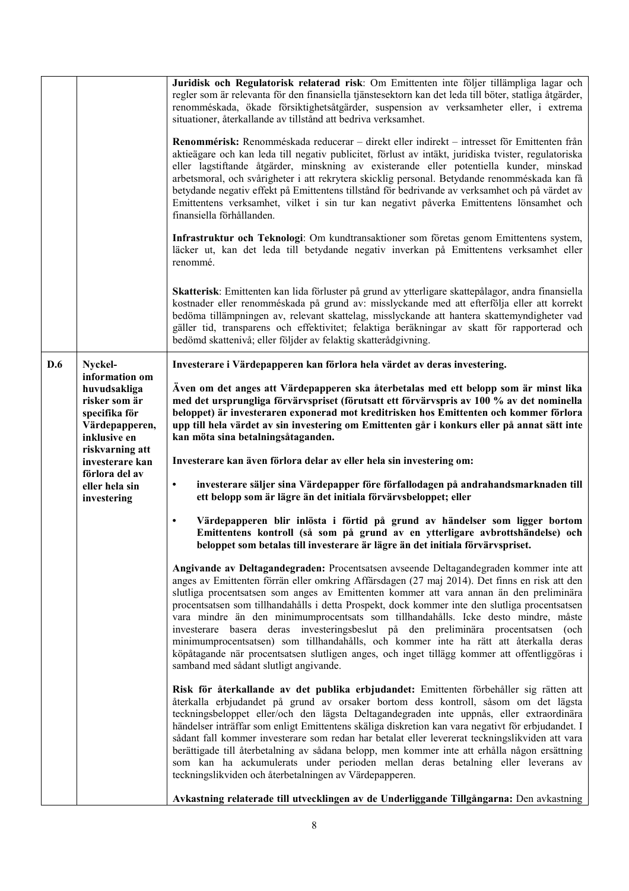|     |                                                                                                                       | Juridisk och Regulatorisk relaterad risk: Om Emittenten inte följer tillämpliga lagar och<br>regler som är relevanta för den finansiella tjänstesektorn kan det leda till böter, statliga åtgärder,<br>renomméskada, ökade försiktighetsåtgärder, suspension av verksamheter eller, i extrema<br>situationer, återkallande av tillstånd att bedriva verksamhet.<br>Renommérisk: Renomméskada reducerar – direkt eller indirekt – intresset för Emittenten från<br>aktieägare och kan leda till negativ publicitet, förlust av intäkt, juridiska tvister, regulatoriska<br>eller lagstiftande åtgärder, minskning av existerande eller potentiella kunder, minskad<br>arbetsmoral, och svårigheter i att rekrytera skicklig personal. Betydande renomméskada kan få<br>betydande negativ effekt på Emittentens tillstånd för bedrivande av verksamhet och på värdet av<br>Emittentens verksamhet, vilket i sin tur kan negativt påverka Emittentens lönsamhet och<br>finansiella förhållanden.<br>Infrastruktur och Teknologi: Om kundtransaktioner som företas genom Emittentens system,<br>läcker ut, kan det leda till betydande negativ inverkan på Emittentens verksamhet eller<br>renommé.<br>Skatterisk: Emittenten kan lida förluster på grund av ytterligare skattepålagor, andra finansiella<br>kostnader eller renomméskada på grund av: misslyckande med att efterfölja eller att korrekt<br>bedöma tillämpningen av, relevant skattelag, misslyckande att hantera skattemyndigheter vad<br>gäller tid, transparens och effektivitet; felaktiga beräkningar av skatt för rapporterad och<br>bedömd skattenivå; eller följder av felaktig skatterådgivning. |
|-----|-----------------------------------------------------------------------------------------------------------------------|-----------------------------------------------------------------------------------------------------------------------------------------------------------------------------------------------------------------------------------------------------------------------------------------------------------------------------------------------------------------------------------------------------------------------------------------------------------------------------------------------------------------------------------------------------------------------------------------------------------------------------------------------------------------------------------------------------------------------------------------------------------------------------------------------------------------------------------------------------------------------------------------------------------------------------------------------------------------------------------------------------------------------------------------------------------------------------------------------------------------------------------------------------------------------------------------------------------------------------------------------------------------------------------------------------------------------------------------------------------------------------------------------------------------------------------------------------------------------------------------------------------------------------------------------------------------------------------------------------------------------------------------------------------------------|
| D.6 | Nyckel-                                                                                                               | Investerare i Värdepapperen kan förlora hela värdet av deras investering.                                                                                                                                                                                                                                                                                                                                                                                                                                                                                                                                                                                                                                                                                                                                                                                                                                                                                                                                                                                                                                                                                                                                                                                                                                                                                                                                                                                                                                                                                                                                                                                             |
|     | information om<br>huvudsakliga<br>risker som är<br>specifika för<br>Värdepapperen,<br>inklusive en<br>riskvarning att | Även om det anges att Värdepapperen ska återbetalas med ett belopp som är minst lika<br>med det ursprungliga förvärvspriset (förutsatt ett förvärvspris av 100 % av det nominella<br>beloppet) är investeraren exponerad mot kreditrisken hos Emittenten och kommer förlora<br>upp till hela värdet av sin investering om Emittenten går i konkurs eller på annat sätt inte<br>kan möta sina betalningsåtaganden.                                                                                                                                                                                                                                                                                                                                                                                                                                                                                                                                                                                                                                                                                                                                                                                                                                                                                                                                                                                                                                                                                                                                                                                                                                                     |
|     | investerare kan<br>förlora del av                                                                                     | Investerare kan även förlora delar av eller hela sin investering om:                                                                                                                                                                                                                                                                                                                                                                                                                                                                                                                                                                                                                                                                                                                                                                                                                                                                                                                                                                                                                                                                                                                                                                                                                                                                                                                                                                                                                                                                                                                                                                                                  |
|     | eller hela sin<br>investering                                                                                         | investerare säljer sina Värdepapper före förfallodagen på andrahandsmarknaden till<br>$\bullet$<br>ett belopp som är lägre än det initiala förvärvsbeloppet; eller                                                                                                                                                                                                                                                                                                                                                                                                                                                                                                                                                                                                                                                                                                                                                                                                                                                                                                                                                                                                                                                                                                                                                                                                                                                                                                                                                                                                                                                                                                    |
|     |                                                                                                                       | Värdepapperen blir inlösta i förtid på grund av händelser som ligger bortom<br>٠<br>Emittentens kontroll (så som på grund av en ytterligare avbrottshändelse) och<br>beloppet som betalas till investerare är lägre än det initiala förvärvspriset.                                                                                                                                                                                                                                                                                                                                                                                                                                                                                                                                                                                                                                                                                                                                                                                                                                                                                                                                                                                                                                                                                                                                                                                                                                                                                                                                                                                                                   |
|     |                                                                                                                       | Angivande av Deltagandegraden: Procentsatsen avseende Deltagandegraden kommer inte att<br>anges av Emittenten förrän eller omkring Affärsdagen (27 maj 2014). Det finns en risk att den<br>slutliga procentsatsen som anges av Emittenten kommer att vara annan än den preliminära<br>procentsatsen som tillhandahålls i detta Prospekt, dock kommer inte den slutliga procentsatsen<br>vara mindre än den minimumprocentsats som tillhandahålls. Icke desto mindre, måste<br>investerare basera deras investeringsbeslut på den preliminära procentsatsen (och<br>minimumprocentsatsen) som tillhandahålls, och kommer inte ha rätt att återkalla deras<br>köpåtagande när procentsatsen slutligen anges, och inget tillägg kommer att offentliggöras i<br>samband med sådant slutligt angivande.                                                                                                                                                                                                                                                                                                                                                                                                                                                                                                                                                                                                                                                                                                                                                                                                                                                                    |
|     |                                                                                                                       | Risk för återkallande av det publika erbjudandet: Emittenten förbehåller sig rätten att<br>återkalla erbjudandet på grund av orsaker bortom dess kontroll, såsom om det lägsta<br>teckningsbeloppet eller/och den lägsta Deltagandegraden inte uppnås, eller extraordinära<br>händelser inträffar som enligt Emittentens skäliga diskretion kan vara negativt för erbjudandet. I<br>sådant fall kommer investerare som redan har betalat eller levererat teckningslikviden att vara<br>berättigade till återbetalning av sådana belopp, men kommer inte att erhålla någon ersättning<br>som kan ha ackumulerats under perioden mellan deras betalning eller leverans av<br>teckningslikviden och återbetalningen av Värdepapperen.                                                                                                                                                                                                                                                                                                                                                                                                                                                                                                                                                                                                                                                                                                                                                                                                                                                                                                                                    |
|     |                                                                                                                       | Avkastning relaterade till utvecklingen av de Underliggande Tillgångarna: Den avkastning                                                                                                                                                                                                                                                                                                                                                                                                                                                                                                                                                                                                                                                                                                                                                                                                                                                                                                                                                                                                                                                                                                                                                                                                                                                                                                                                                                                                                                                                                                                                                                              |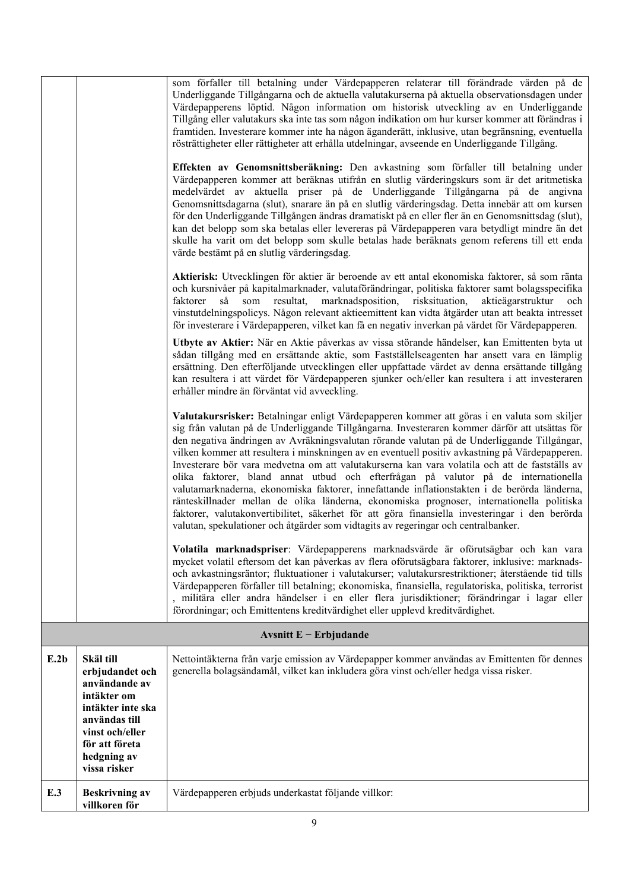|      |                                                                                                                                                                        | som förfaller till betalning under Värdepapperen relaterar till förändrade värden på de<br>Underliggande Tillgångarna och de aktuella valutakurserna på aktuella observationsdagen under<br>Värdepapperens löptid. Någon information om historisk utveckling av en Underliggande<br>Tillgång eller valutakurs ska inte tas som någon indikation om hur kurser kommer att förändras i<br>framtiden. Investerare kommer inte ha någon äganderätt, inklusive, utan begränsning, eventuella<br>rösträttigheter eller rättigheter att erhålla utdelningar, avseende en Underliggande Tillgång.<br>Effekten av Genomsnittsberäkning: Den avkastning som förfaller till betalning under<br>Värdepapperen kommer att beräknas utifrån en slutlig värderingskurs som är det aritmetiska<br>medelvärdet av aktuella priser på de Underliggande Tillgångarna på de angivna<br>Genomsnittsdagarna (slut), snarare än på en slutlig värderingsdag. Detta innebär att om kursen<br>för den Underliggande Tillgången ändras dramatiskt på en eller fler än en Genomsnittsdag (slut),<br>kan det belopp som ska betalas eller levereras på Värdepapperen vara betydligt mindre än det<br>skulle ha varit om det belopp som skulle betalas hade beräknats genom referens till ett enda<br>värde bestämt på en slutlig värderingsdag.<br>Aktierisk: Utvecklingen för aktier är beroende av ett antal ekonomiska faktorer, så som ränta<br>och kursnivåer på kapitalmarknader, valutaförändringar, politiska faktorer samt bolagsspecifika<br>risksituation,<br>så<br>som<br>resultat,<br>marknadsposition,<br>aktieägarstruktur<br>faktorer<br>och<br>vinstutdelningspolicys. Någon relevant aktieemittent kan vidta åtgärder utan att beakta intresset<br>för investerare i Värdepapperen, vilket kan få en negativ inverkan på värdet för Värdepapperen.<br>Utbyte av Aktier: När en Aktie påverkas av vissa störande händelser, kan Emittenten byta ut<br>sådan tillgång med en ersättande aktie, som Fastställelseagenten har ansett vara en lämplig<br>ersättning. Den efterföljande utvecklingen eller uppfattade värdet av denna ersättande tillgång<br>kan resultera i att värdet för Värdepapperen sjunker och/eller kan resultera i att investeraren<br>erhåller mindre än förväntat vid avveckling.<br>Valutakursrisker: Betalningar enligt Värdepapperen kommer att göras i en valuta som skiljer<br>sig från valutan på de Underliggande Tillgångarna. Investeraren kommer därför att utsättas för<br>den negativa ändringen av Avräkningsvalutan rörande valutan på de Underliggande Tillgångar,<br>vilken kommer att resultera i minskningen av en eventuell positiv avkastning på Värdepapperen. |
|------|------------------------------------------------------------------------------------------------------------------------------------------------------------------------|------------------------------------------------------------------------------------------------------------------------------------------------------------------------------------------------------------------------------------------------------------------------------------------------------------------------------------------------------------------------------------------------------------------------------------------------------------------------------------------------------------------------------------------------------------------------------------------------------------------------------------------------------------------------------------------------------------------------------------------------------------------------------------------------------------------------------------------------------------------------------------------------------------------------------------------------------------------------------------------------------------------------------------------------------------------------------------------------------------------------------------------------------------------------------------------------------------------------------------------------------------------------------------------------------------------------------------------------------------------------------------------------------------------------------------------------------------------------------------------------------------------------------------------------------------------------------------------------------------------------------------------------------------------------------------------------------------------------------------------------------------------------------------------------------------------------------------------------------------------------------------------------------------------------------------------------------------------------------------------------------------------------------------------------------------------------------------------------------------------------------------------------------------------------------------------------------------------------------------------------------------------------------------------------------------------------------------------------------------------------------------------------------------------------------------------------------------------------------------------------------------------------------------------------------------------------------------------------------------------------------------------------------------------------------------------------|
|      |                                                                                                                                                                        | Investerare bör vara medvetna om att valutakurserna kan vara volatila och att de fastställs av<br>olika faktorer, bland annat utbud och efterfrågan på valutor på de internationella<br>valutamarknaderna, ekonomiska faktorer, innefattande inflationstakten i de berörda länderna,<br>ränteskillnader mellan de olika länderna, ekonomiska prognoser, internationella politiska<br>faktorer, valutakonvertibilitet, säkerhet för att göra finansiella investeringar i den berörda<br>valutan, spekulationer och åtgärder som vidtagits av regeringar och centralbanker.                                                                                                                                                                                                                                                                                                                                                                                                                                                                                                                                                                                                                                                                                                                                                                                                                                                                                                                                                                                                                                                                                                                                                                                                                                                                                                                                                                                                                                                                                                                                                                                                                                                                                                                                                                                                                                                                                                                                                                                                                                                                                                                      |
|      |                                                                                                                                                                        | Volatila marknadspriser: Värdepapperens marknadsvärde är oförutsägbar och kan vara<br>mycket volatil eftersom det kan påverkas av flera oförutsägbara faktorer, inklusive: marknads-<br>och avkastningsräntor; fluktuationer i valutakurser; valutakursrestriktioner; återstående tid tills<br>Värdepapperen förfaller till betalning; ekonomiska, finansiella, regulatoriska, politiska, terrorist<br>, militära eller andra händelser i en eller flera jurisdiktioner; förändringar i lagar eller<br>förordningar; och Emittentens kreditvärdighet eller upplevd kreditvärdighet.                                                                                                                                                                                                                                                                                                                                                                                                                                                                                                                                                                                                                                                                                                                                                                                                                                                                                                                                                                                                                                                                                                                                                                                                                                                                                                                                                                                                                                                                                                                                                                                                                                                                                                                                                                                                                                                                                                                                                                                                                                                                                                            |
|      |                                                                                                                                                                        | Avsnitt $E$ – Erbjudande                                                                                                                                                                                                                                                                                                                                                                                                                                                                                                                                                                                                                                                                                                                                                                                                                                                                                                                                                                                                                                                                                                                                                                                                                                                                                                                                                                                                                                                                                                                                                                                                                                                                                                                                                                                                                                                                                                                                                                                                                                                                                                                                                                                                                                                                                                                                                                                                                                                                                                                                                                                                                                                                       |
| E.2b | Skäl till<br>erbjudandet och<br>användande av<br>intäkter om<br>intäkter inte ska<br>användas till<br>vinst och/eller<br>för att företa<br>hedgning av<br>vissa risker | Nettointäkterna från varje emission av Värdepapper kommer användas av Emittenten för dennes<br>generella bolagsändamål, vilket kan inkludera göra vinst och/eller hedga vissa risker.                                                                                                                                                                                                                                                                                                                                                                                                                                                                                                                                                                                                                                                                                                                                                                                                                                                                                                                                                                                                                                                                                                                                                                                                                                                                                                                                                                                                                                                                                                                                                                                                                                                                                                                                                                                                                                                                                                                                                                                                                                                                                                                                                                                                                                                                                                                                                                                                                                                                                                          |
| E.3  | <b>Beskrivning av</b><br>villkoren för                                                                                                                                 | Värdepapperen erbjuds underkastat följande villkor:                                                                                                                                                                                                                                                                                                                                                                                                                                                                                                                                                                                                                                                                                                                                                                                                                                                                                                                                                                                                                                                                                                                                                                                                                                                                                                                                                                                                                                                                                                                                                                                                                                                                                                                                                                                                                                                                                                                                                                                                                                                                                                                                                                                                                                                                                                                                                                                                                                                                                                                                                                                                                                            |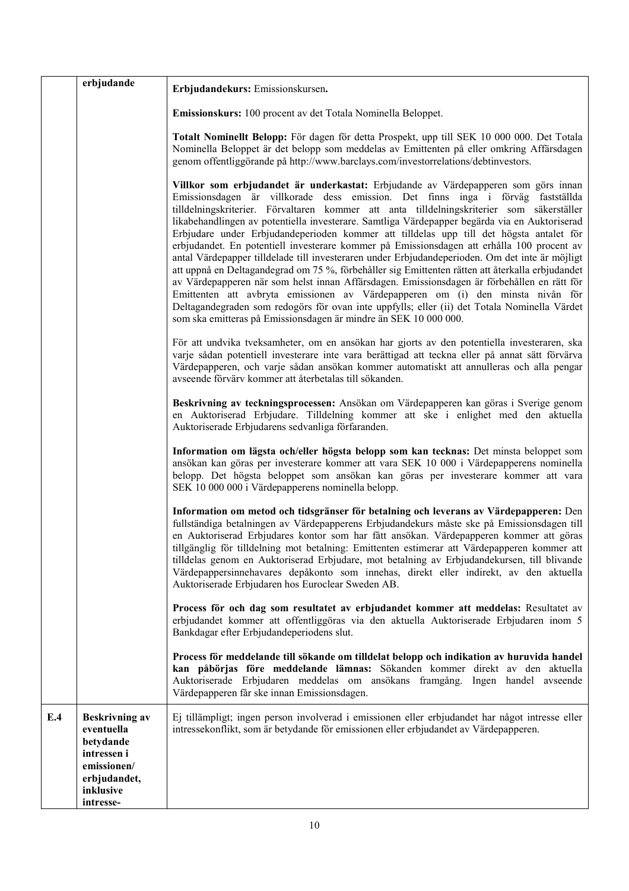|     | erbjudande                                                                                                               | Erbjudandekurs: Emissionskursen.                                                                                                                                                                                                                                                                                                                                                                                                                                                                                                                                                                                                                                                                                                                                                                                                                                                                                                                                                                                                                                                                                         |
|-----|--------------------------------------------------------------------------------------------------------------------------|--------------------------------------------------------------------------------------------------------------------------------------------------------------------------------------------------------------------------------------------------------------------------------------------------------------------------------------------------------------------------------------------------------------------------------------------------------------------------------------------------------------------------------------------------------------------------------------------------------------------------------------------------------------------------------------------------------------------------------------------------------------------------------------------------------------------------------------------------------------------------------------------------------------------------------------------------------------------------------------------------------------------------------------------------------------------------------------------------------------------------|
|     |                                                                                                                          | Emissionskurs: 100 procent av det Totala Nominella Beloppet.                                                                                                                                                                                                                                                                                                                                                                                                                                                                                                                                                                                                                                                                                                                                                                                                                                                                                                                                                                                                                                                             |
|     |                                                                                                                          | Totalt Nominellt Belopp: För dagen för detta Prospekt, upp till SEK 10 000 000. Det Totala<br>Nominella Beloppet är det belopp som meddelas av Emittenten på eller omkring Affärsdagen<br>genom offentliggörande på http://www.barclays.com/investorrelations/debtinvestors.                                                                                                                                                                                                                                                                                                                                                                                                                                                                                                                                                                                                                                                                                                                                                                                                                                             |
|     |                                                                                                                          | Villkor som erbjudandet är underkastat: Erbjudande av Värdepapperen som görs innan<br>Emissionsdagen är villkorade dess emission. Det finns inga i förväg fastställda<br>tilldelningskriterier. Förvaltaren kommer att anta tilldelningskriterier som säkerställer<br>likabehandlingen av potentiella investerare. Samtliga Värdepapper begärda via en Auktoriserad<br>Erbjudare under Erbjudandeperioden kommer att tilldelas upp till det högsta antalet för<br>erbjudandet. En potentiell investerare kommer på Emissionsdagen att erhålla 100 procent av<br>antal Värdepapper tilldelade till investeraren under Erbjudandeperioden. Om det inte är möjligt<br>att uppnå en Deltagandegrad om 75 %, förbehåller sig Emittenten rätten att återkalla erbjudandet<br>av Värdepapperen när som helst innan Affärsdagen. Emissionsdagen är förbehållen en rätt för<br>Emittenten att avbryta emissionen av Värdepapperen om (i) den minsta nivån för<br>Deltagandegraden som redogörs för ovan inte uppfylls; eller (ii) det Totala Nominella Värdet<br>som ska emitteras på Emissionsdagen är mindre än SEK 10 000 000. |
|     |                                                                                                                          | För att undvika tveksamheter, om en ansökan har gjorts av den potentiella investeraren, ska<br>varje sådan potentiell investerare inte vara berättigad att teckna eller på annat sätt förvärva<br>Värdepapperen, och varje sådan ansökan kommer automatiskt att annulleras och alla pengar<br>avseende förvärv kommer att återbetalas till sökanden.                                                                                                                                                                                                                                                                                                                                                                                                                                                                                                                                                                                                                                                                                                                                                                     |
|     |                                                                                                                          | Beskrivning av teckningsprocessen: Ansökan om Värdepapperen kan göras i Sverige genom<br>en Auktoriserad Erbjudare. Tilldelning kommer att ske i enlighet med den aktuella<br>Auktoriserade Erbjudarens sedvanliga förfaranden.                                                                                                                                                                                                                                                                                                                                                                                                                                                                                                                                                                                                                                                                                                                                                                                                                                                                                          |
|     |                                                                                                                          | Information om lägsta och/eller högsta belopp som kan tecknas: Det minsta beloppet som<br>ansökan kan göras per investerare kommer att vara SEK 10 000 i Värdepapperens nominella<br>belopp. Det högsta beloppet som ansökan kan göras per investerare kommer att vara<br>SEK 10 000 000 i Värdepapperens nominella belopp.                                                                                                                                                                                                                                                                                                                                                                                                                                                                                                                                                                                                                                                                                                                                                                                              |
|     |                                                                                                                          | Information om metod och tidsgränser för betalning och leverans av Värdepapperen: Den<br>fullständiga betalningen av Värdepapperens Erbjudandekurs måste ske på Emissionsdagen till<br>en Auktoriserad Erbjudares kontor som har fått ansökan. Värdepapperen kommer att göras<br>tillgänglig för tilldelning mot betalning: Emittenten estimerar att Värdepapperen kommer att<br>tilldelas genom en Auktoriserad Erbjudare, mot betalning av Erbjudandekursen, till blivande<br>Värdepappersinnehavares depåkonto som innehas, direkt eller indirekt, av den aktuella<br>Auktoriserade Erbjudaren hos Euroclear Sweden AB.                                                                                                                                                                                                                                                                                                                                                                                                                                                                                               |
|     |                                                                                                                          | Process för och dag som resultatet av erbjudandet kommer att meddelas: Resultatet av<br>erbjudandet kommer att offentliggöras via den aktuella Auktoriserade Erbjudaren inom 5<br>Bankdagar efter Erbjudandeperiodens slut.                                                                                                                                                                                                                                                                                                                                                                                                                                                                                                                                                                                                                                                                                                                                                                                                                                                                                              |
|     |                                                                                                                          | Process för meddelande till sökande om tilldelat belopp och indikation av huruvida handel<br>kan påbörjas före meddelande lämnas: Sökanden kommer direkt av den aktuella<br>Auktoriserade Erbjudaren meddelas om ansökans framgång. Ingen handel avseende<br>Värdepapperen får ske innan Emissionsdagen.                                                                                                                                                                                                                                                                                                                                                                                                                                                                                                                                                                                                                                                                                                                                                                                                                 |
| E.4 | <b>Beskrivning av</b><br>eventuella<br>betydande<br>intressen i<br>emissionen/<br>erbjudandet,<br>inklusive<br>intresse- | Ej tillämpligt; ingen person involverad i emissionen eller erbjudandet har något intresse eller<br>intressekonflikt, som är betydande för emissionen eller erbjudandet av Värdepapperen.                                                                                                                                                                                                                                                                                                                                                                                                                                                                                                                                                                                                                                                                                                                                                                                                                                                                                                                                 |